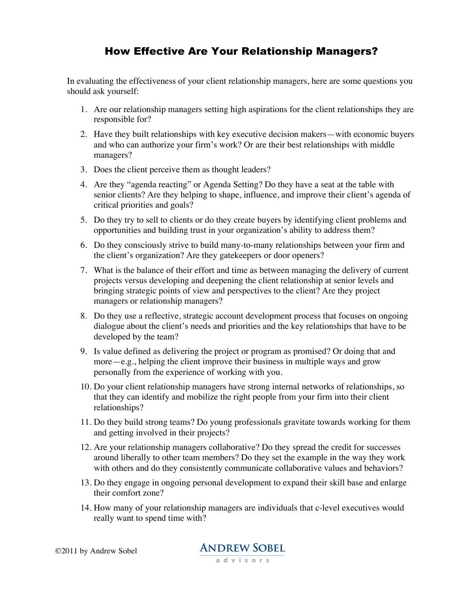## How Effective Are Your Relationship Managers?

In evaluating the effectiveness of your client relationship managers, here are some questions you should ask yourself:

- 1. Are our relationship managers setting high aspirations for the client relationships they are responsible for?
- 2. Have they built relationships with key executive decision makers—with economic buyers and who can authorize your firm's work? Or are their best relationships with middle managers?
- 3. Does the client perceive them as thought leaders?
- 4. Are they "agenda reacting" or Agenda Setting? Do they have a seat at the table with senior clients? Are they helping to shape, influence, and improve their client's agenda of critical priorities and goals?
- 5. Do they try to sell to clients or do they create buyers by identifying client problems and opportunities and building trust in your organization's ability to address them?
- 6. Do they consciously strive to build many-to-many relationships between your firm and the client's organization? Are they gatekeepers or door openers?
- 7. What is the balance of their effort and time as between managing the delivery of current projects versus developing and deepening the client relationship at senior levels and bringing strategic points of view and perspectives to the client? Are they project managers or relationship managers?
- 8. Do they use a reflective, strategic account development process that focuses on ongoing dialogue about the client's needs and priorities and the key relationships that have to be developed by the team?
- 9. Is value defined as delivering the project or program as promised? Or doing that and more—e.g., helping the client improve their business in multiple ways and grow personally from the experience of working with you.
- 10. Do your client relationship managers have strong internal networks of relationships, so that they can identify and mobilize the right people from your firm into their client relationships?
- 11. Do they build strong teams? Do young professionals gravitate towards working for them and getting involved in their projects?
- 12. Are your relationship managers collaborative? Do they spread the credit for successes around liberally to other team members? Do they set the example in the way they work with others and do they consistently communicate collaborative values and behaviors?
- 13. Do they engage in ongoing personal development to expand their skill base and enlarge their comfort zone?
- 14. How many of your relationship managers are individuals that c-level executives would really want to spend time with?